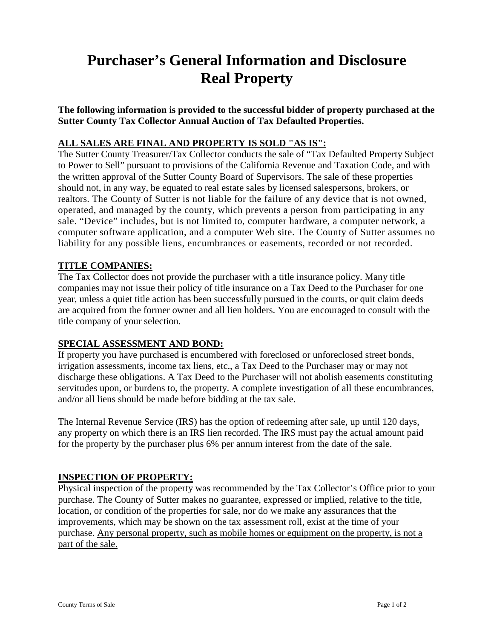# **Purchaser's General Information and Disclosure Real Property**

**The following information is provided to the successful bidder of property purchased at the Sutter County Tax Collector Annual Auction of Tax Defaulted Properties.**

# **ALL SALES ARE FINAL AND PROPERTY IS SOLD "AS IS":**

The Sutter County Treasurer/Tax Collector conducts the sale of "Tax Defaulted Property Subject to Power to Sell" pursuant to provisions of the California Revenue and Taxation Code, and with the written approval of the Sutter County Board of Supervisors. The sale of these properties should not, in any way, be equated to real estate sales by licensed salespersons, brokers, or realtors. The County of Sutter is not liable for the failure of any device that is not owned, operated, and managed by the county, which prevents a person from participating in any sale. "Device" includes, but is not limited to, computer hardware, a computer network, a computer software application, and a computer Web site. The County of Sutter assumes no liability for any possible liens, encumbrances or easements, recorded or not recorded.

# **TITLE COMPANIES:**

The Tax Collector does not provide the purchaser with a title insurance policy. Many title companies may not issue their policy of title insurance on a Tax Deed to the Purchaser for one year, unless a quiet title action has been successfully pursued in the courts, or quit claim deeds are acquired from the former owner and all lien holders. You are encouraged to consult with the title company of your selection.

# **SPECIAL ASSESSMENT AND BOND:**

If property you have purchased is encumbered with foreclosed or unforeclosed street bonds, irrigation assessments, income tax liens, etc., a Tax Deed to the Purchaser may or may not discharge these obligations. A Tax Deed to the Purchaser will not abolish easements constituting servitudes upon, or burdens to, the property. A complete investigation of all these encumbrances, and/or all liens should be made before bidding at the tax sale.

The Internal Revenue Service (IRS) has the option of redeeming after sale, up until 120 days, any property on which there is an IRS lien recorded. The IRS must pay the actual amount paid for the property by the purchaser plus 6% per annum interest from the date of the sale.

#### **INSPECTION OF PROPERTY:**

Physical inspection of the property was recommended by the Tax Collector's Office prior to your purchase. The County of Sutter makes no guarantee, expressed or implied, relative to the title, location, or condition of the properties for sale, nor do we make any assurances that the improvements, which may be shown on the tax assessment roll, exist at the time of your purchase. Any personal property, such as mobile homes or equipment on the property, is not a part of the sale.